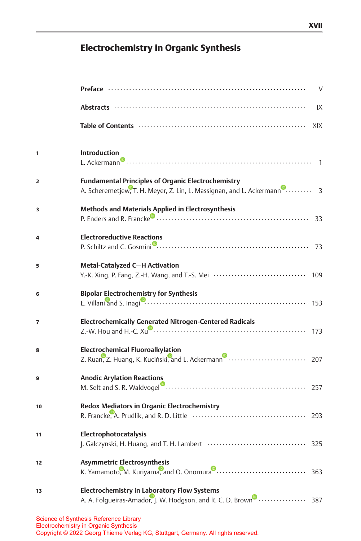## Electrochemistry in Organic Synthesis

|    | $\vee$                                                                                                                                           |
|----|--------------------------------------------------------------------------------------------------------------------------------------------------|
|    | IX                                                                                                                                               |
|    | XIX                                                                                                                                              |
| 1  | <b>Introduction</b>                                                                                                                              |
| 2  | <b>Fundamental Principles of Organic Electrochemistry</b><br>A. Scheremetjew, T. H. Meyer, Z. Lin, L. Massignan, and L. Ackermann <sup>0</sup> 3 |
| 3  | <b>Methods and Materials Applied in Electrosynthesis</b>                                                                                         |
| 4  | <b>Electroreductive Reactions</b>                                                                                                                |
| 5  | Metal-Catalyzed C-H Activation<br>Y.-K. Xing, P. Fang, Z.-H. Wang, and T.-S. Mei ································· 109                           |
| 6  | <b>Bipolar Electrochemistry for Synthesis</b>                                                                                                    |
| 7  | <b>Electrochemically Generated Nitrogen-Centered Radicals</b>                                                                                    |
| 8  | <b>Electrochemical Fluoroalkylation</b>                                                                                                          |
| 9  | <b>Anodic Arylation Reactions</b>                                                                                                                |
| 10 | <b>Redox Mediators in Organic Electrochemistry</b>                                                                                               |
| 11 | Electrophotocatalysis                                                                                                                            |
| 12 | <b>Asymmetric Electrosynthesis</b>                                                                                                               |
| 13 | <b>Electrochemistry in Laboratory Flow Systems</b><br>A. A. Folgueiras-Amador, J. W. Hodgson, and R. C. D. Brown <b>CHACK 1989</b>               |
|    | Science of Synthesis Reference Library                                                                                                           |

Electrochemistry in Organic Synthesis Copyright © 2022 Georg Thieme Verlag KG, Stuttgart, Germany. All rights reserved.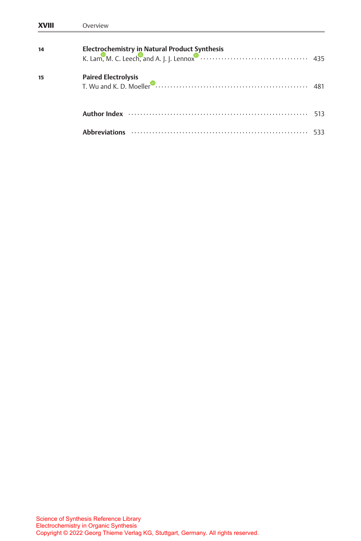| <b>XVIII</b> | Overview                                                                                                                                                                                                                     |     |
|--------------|------------------------------------------------------------------------------------------------------------------------------------------------------------------------------------------------------------------------------|-----|
| 14           |                                                                                                                                                                                                                              |     |
| 15           | Paired Electrolysis<br>T. Wu and K. D. Moeller<br>Decrees and C. D. Moeller<br>Decrees and C. D. Moeller<br>Decrees and C. D. Moeller<br>Decrees and C. D. Moeller<br>Decrees and C. D. Moeller<br>Decrees and C. D. Moeller |     |
|              |                                                                                                                                                                                                                              | 513 |
|              |                                                                                                                                                                                                                              |     |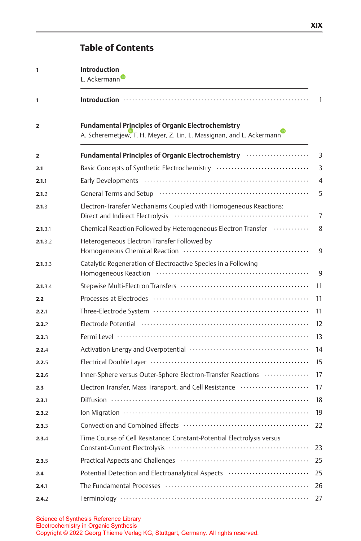## Table of Contents

| 1              | <b>Introduction</b><br>L. Ackermann                                                                                                                                                                                            |                |
|----------------|--------------------------------------------------------------------------------------------------------------------------------------------------------------------------------------------------------------------------------|----------------|
| 1              |                                                                                                                                                                                                                                | $\mathbf{1}$   |
| $\overline{2}$ | <b>Fundamental Principles of Organic Electrochemistry</b><br>A. Scheremetjew, T. H. Meyer, Z. Lin, L. Massignan, and L. Ackermann                                                                                              |                |
| 2              | Fundamental Principles of Organic Electrochemistry                                                                                                                                                                             | $\overline{3}$ |
| 2.1            | Basic Concepts of Synthetic Electrochemistry                                                                                                                                                                                   | 3              |
| 2.1.1          |                                                                                                                                                                                                                                | $\overline{4}$ |
| 2.1.2          | General Terms and Setup (and the continuum continuum continuum continuum continuum continuum continuum continuum continuum continuum continuum continuum continuum continuum continuum continuum continuum continuum continuum | 5              |
| 2.1.3          | Electron-Transfer Mechanisms Coupled with Homogeneous Reactions:                                                                                                                                                               | 7              |
| 2.1.3.1        | Chemical Reaction Followed by Heterogeneous Electron Transfer                                                                                                                                                                  | 8              |
| 2.1.3.2        | Heterogeneous Electron Transfer Followed by                                                                                                                                                                                    | 9              |
| 2.1.3.3        | Catalytic Regeneration of Electroactive Species in a Following                                                                                                                                                                 | 9              |
| 2.1.3.4        |                                                                                                                                                                                                                                | 11             |
| 2.2            |                                                                                                                                                                                                                                | 11             |
| 2.2.1          |                                                                                                                                                                                                                                | 11             |
| 2.2.2          | Electrode Potential (and according control of the Potential Control of the Potential (and according to the Potential                                                                                                           | 12             |
| 2.2.3          |                                                                                                                                                                                                                                | 13             |
| 2.2.4          |                                                                                                                                                                                                                                | 14             |
| 2.2.5          |                                                                                                                                                                                                                                | 15             |
| 2.2.6          | Inner-Sphere versus Outer-Sphere Electron-Transfer Reactions                                                                                                                                                                   | 17             |
| 2.3            | Electron Transfer, Mass Transport, and Cell Resistance                                                                                                                                                                         | 17             |
| 2.3.1          |                                                                                                                                                                                                                                | 18             |
| 2.3.2          |                                                                                                                                                                                                                                | 19             |
| 2.3.3          |                                                                                                                                                                                                                                | 22             |
| 2.3.4          | Time Course of Cell Resistance: Constant-Potential Electrolysis versus                                                                                                                                                         | 23             |
| 2.3.5          |                                                                                                                                                                                                                                | 25             |
| 2.4            | Potential Detection and Electroanalytical Aspects                                                                                                                                                                              | 25             |
| 2.4.1          |                                                                                                                                                                                                                                | 26             |
| 2.4.2          |                                                                                                                                                                                                                                | 27             |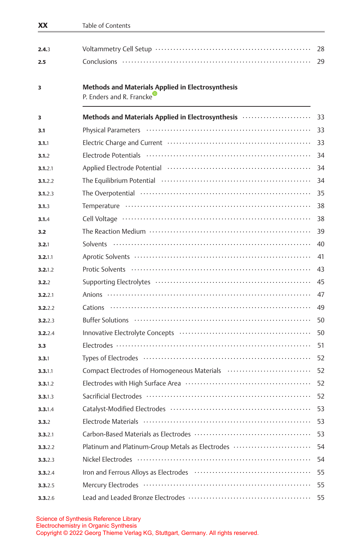| XX      | Table of Contents                                                                                                                                                                                                              |    |
|---------|--------------------------------------------------------------------------------------------------------------------------------------------------------------------------------------------------------------------------------|----|
| 2.4.3   |                                                                                                                                                                                                                                | 28 |
| 2.5     |                                                                                                                                                                                                                                | 29 |
| 3       | <b>Methods and Materials Applied in Electrosynthesis</b><br>P. Enders and R. Francke                                                                                                                                           |    |
| 3       | Methods and Materials Applied in Electrosynthesis manufactured and Materials Applied in Electrosynthesis manufactured                                                                                                          | 33 |
| 3.1     |                                                                                                                                                                                                                                | 33 |
| 3.1.1   | Electric Charge and Current (and the continuum control of the control of the control of the control of the control of the control of the control of the control of the control of the control of the control of the control of | 33 |
| 3.1.2   |                                                                                                                                                                                                                                | 34 |
| 3.1.2.1 |                                                                                                                                                                                                                                | 34 |
| 3.1.2.2 |                                                                                                                                                                                                                                | 34 |
| 3.1.2.3 |                                                                                                                                                                                                                                | 35 |
| 3.1.3   |                                                                                                                                                                                                                                | 38 |
| 3.1.4   |                                                                                                                                                                                                                                | 38 |
| 3.2     |                                                                                                                                                                                                                                | 39 |
| 3.2.1   |                                                                                                                                                                                                                                | 40 |
| 3.2.1.1 |                                                                                                                                                                                                                                | 41 |
| 3.2.1.2 |                                                                                                                                                                                                                                | 43 |
| 3.2.2   |                                                                                                                                                                                                                                | 45 |
| 3.2.2.1 |                                                                                                                                                                                                                                | 47 |
| 3.2.2.2 |                                                                                                                                                                                                                                | 49 |
| 3.2.2.3 |                                                                                                                                                                                                                                | 50 |
| 3.2.2.4 | Innovative Electrolyte Concepts (and the context of the context of the context of the context of the context of the context of the context of the context of the context of the context of the context of the context of the c | 50 |
| 3.3     |                                                                                                                                                                                                                                | 51 |
| 3.3.1   |                                                                                                                                                                                                                                | 52 |
| 3.3.1.1 | Compact Electrodes of Homogeneous Materials                                                                                                                                                                                    | 52 |
| 3.3.1.2 |                                                                                                                                                                                                                                | 52 |
| 3.3.1.3 |                                                                                                                                                                                                                                | 52 |
| 3.3.1.4 |                                                                                                                                                                                                                                | 53 |
| 3.3.2   |                                                                                                                                                                                                                                | 53 |
| 3.3.2.1 |                                                                                                                                                                                                                                | 53 |
| 3.3.2.2 | Platinum and Platinum-Group Metals as Electrodes                                                                                                                                                                               | 54 |
| 3.3.2.3 |                                                                                                                                                                                                                                | 54 |
| 3.3.2.4 |                                                                                                                                                                                                                                | 55 |
| 3.3.2.5 |                                                                                                                                                                                                                                | 55 |
| 3.3.2.6 |                                                                                                                                                                                                                                | 55 |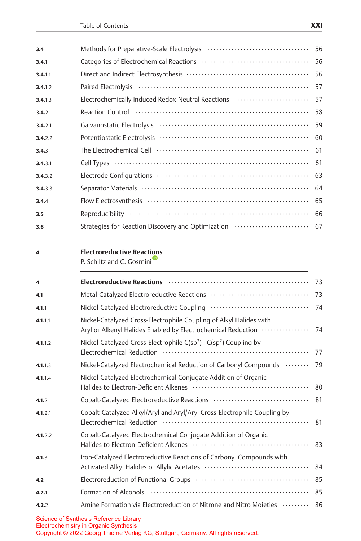| 3.4     |                                                                                                                                    | 56 |
|---------|------------------------------------------------------------------------------------------------------------------------------------|----|
| 3.4.1   |                                                                                                                                    | 56 |
| 3.4.1.1 |                                                                                                                                    | 56 |
| 3.4.1.2 |                                                                                                                                    | 57 |
| 3.4.1.3 | Electrochemically Induced Redox-Neutral Reactions                                                                                  | 57 |
| 3.4.2   |                                                                                                                                    | 58 |
| 3.4.2.1 |                                                                                                                                    | 59 |
| 3.4.2.2 |                                                                                                                                    | 60 |
| 3.4.3   |                                                                                                                                    | 61 |
| 3.4.3.1 |                                                                                                                                    | 61 |
| 3.4.3.2 |                                                                                                                                    | 63 |
| 3.4.3.3 |                                                                                                                                    | 64 |
| 3.4.4   |                                                                                                                                    | 65 |
| 3.5     |                                                                                                                                    | 66 |
| 3.6     | Strategies for Reaction Discovery and Optimization                                                                                 | 67 |
| 4       | <b>Electroreductive Reactions</b><br>P. Schiltz and C. Gosmini                                                                     |    |
| 4       | Electroreductive Reactions (and accommunity of the Reading Section and Section 2014)                                               | 73 |
| 4.1     |                                                                                                                                    | 73 |
| 4.1.1   |                                                                                                                                    | 74 |
| 4.1.1.1 | Nickel-Catalyzed Cross-Electrophile Coupling of Alkyl Halides with<br>Aryl or Alkenyl Halides Enabled by Electrochemical Reduction | 74 |
| 4.1.1.2 | Nickel-Catalyzed Cross-Electrophile $C(sp^2)$ –C(sp <sup>2</sup> ) Coupling by                                                     | 77 |
| 4.1.1.3 | Nickel-Catalyzed Electrochemical Reduction of Carbonyl Compounds                                                                   | 79 |
| 4.1.1.4 | Nickel-Catalyzed Electrochemical Conjugate Addition of Organic                                                                     | 80 |
| 4.1.2   |                                                                                                                                    | 81 |
| 4.1.2.1 | Cobalt-Catalyzed Alkyl/Aryl and Aryl/Aryl Cross-Electrophile Coupling by                                                           | 81 |
| 4.1.2.2 | Cobalt-Catalyzed Electrochemical Conjugate Addition of Organic                                                                     | 83 |
| 4.1.3   | Iron-Catalyzed Electroreductive Reactions of Carbonyl Compounds with                                                               | 84 |
| 4.2     |                                                                                                                                    | 85 |
| 4.2.1   |                                                                                                                                    | 85 |
| 4.2.2   | Amine Formation via Electroreduction of Nitrone and Nitro Moieties (allowing                                                       | 86 |
|         | <b>Science of Synthesis Reference Library</b><br>Electrochemistry in Organic Synthesis                                             |    |

Copyright © 2022 Georg Thieme Verlag KG, Stuttgart, Germany. All rights reserved.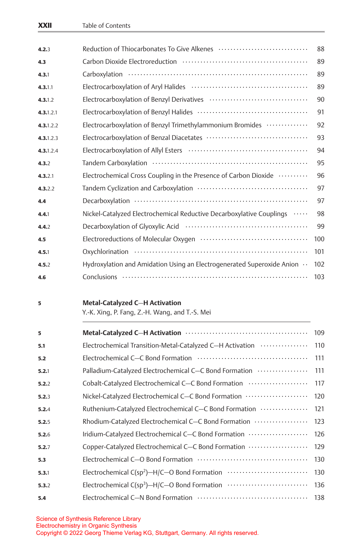|                                                                        | 88                                             |
|------------------------------------------------------------------------|------------------------------------------------|
|                                                                        | 89                                             |
|                                                                        | 89                                             |
|                                                                        | 89                                             |
|                                                                        | 90                                             |
|                                                                        | 91                                             |
| Electrocarboxylation of Benzyl Trimethylammonium Bromides              | 92                                             |
|                                                                        | 93                                             |
|                                                                        | 94                                             |
|                                                                        | 95                                             |
| Electrochemical Cross Coupling in the Presence of Carbon Dioxide       | 96                                             |
|                                                                        | 97                                             |
|                                                                        | 97                                             |
| Nickel-Catalyzed Electrochemical Reductive Decarboxylative Couplings   | 98                                             |
|                                                                        | 99                                             |
|                                                                        | 100                                            |
|                                                                        | 101                                            |
| Hydroxylation and Amidation Using an Electrogenerated Superoxide Anion | 102                                            |
|                                                                        | 103                                            |
| <b>Metal-Catalyzed C-H Activation</b>                                  |                                                |
|                                                                        | Y.-K. Xing, P. Fang, Z.-H. Wang, and T.-S. Mei |

| 5     |                                                           | 109 |
|-------|-----------------------------------------------------------|-----|
| 5.1   | Electrochemical Transition-Metal-Catalyzed C-H Activation | 110 |
| 5.2   |                                                           | 111 |
| 5.2.1 | Palladium-Catalyzed Electrochemical C-C Bond Formation    | 111 |
| 5.2.2 | Cobalt-Catalyzed Electrochemical C-C Bond Formation       | 117 |
| 5.2.3 | Nickel-Catalyzed Electrochemical C-C Bond Formation       | 120 |
| 5.2.4 | Ruthenium-Catalyzed Electrochemical C-C Bond Formation    | 121 |
| 5.2.5 | Rhodium-Catalyzed Electrochemical C-C Bond Formation      | 123 |
| 5.2.6 | Iridium-Catalyzed Electrochemical C-C Bond Formation      | 126 |
| 5.2.7 | Copper-Catalyzed Electrochemical C-C Bond Formation       | 129 |
| 5.3   |                                                           | 130 |
| 5.3.1 | Electrochemical C(sp <sup>2</sup> )-H/C-O Bond Formation  | 130 |
| 5.3.2 | Electrochemical C(sp <sup>3</sup> )-H/C-O Bond Formation  | 136 |
| 5.4   |                                                           | 138 |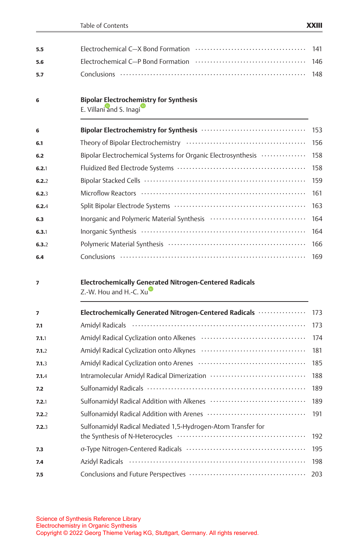| 5.5   |                                                                                         | 141 |
|-------|-----------------------------------------------------------------------------------------|-----|
| 5.6   |                                                                                         | 146 |
| 5.7   |                                                                                         | 148 |
| 6     | <b>Bipolar Electrochemistry for Synthesis</b><br>E. Villani and S. Inagi                |     |
| 6     |                                                                                         | 153 |
| 6.1   |                                                                                         | 156 |
| 6.2   | Bipolar Electrochemical Systems for Organic Electrosynthesis                            | 158 |
| 6.2.1 |                                                                                         | 158 |
| 6.2.2 |                                                                                         | 159 |
| 6.2.3 |                                                                                         | 161 |
| 6.2.4 |                                                                                         | 163 |
| 6.3   |                                                                                         | 164 |
| 6.3.1 |                                                                                         | 164 |
| 6.3.2 | Polymeric Material Synthesis (and the context of the Synthesis Context of the Synthesis | 166 |
| 6.4   |                                                                                         | 169 |
| 7     | <b>Electrochemically Generated Nitrogen-Centered Radicals</b><br>Z.-W. Hou and H.-C. Xu |     |
| 7     | Electrochemically Generated Nitrogen-Centered Radicals                                  | 173 |
| 7.1   |                                                                                         | 173 |
| 7.1.1 |                                                                                         | 174 |
| 7.1.2 |                                                                                         | 181 |
| 7.1.3 |                                                                                         | 185 |
| 7.1.4 |                                                                                         | 188 |
| 7.2   |                                                                                         | 189 |
| 7.2.1 |                                                                                         | 189 |
| 7.2.2 |                                                                                         | 191 |
| 7.2.3 | Sulfonamidyl Radical Mediated 1,5-Hydrogen-Atom Transfer for                            | 192 |
| 7.3   |                                                                                         | 195 |
| 7.4   |                                                                                         | 198 |
| 7.5   |                                                                                         | 203 |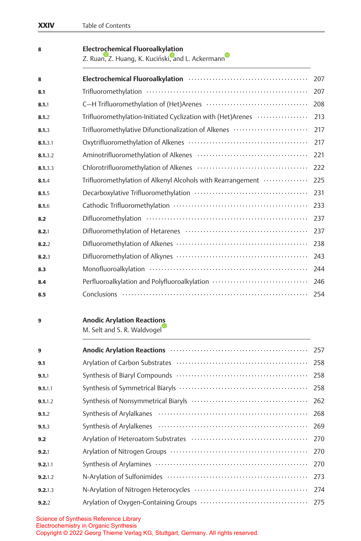| 8       | <b>Electrochemical Fluoroalkylation</b><br>Z. Ruan, Z. Huang, K. Kuciński, and L. Ackermann |     |
|---------|---------------------------------------------------------------------------------------------|-----|
| 8       |                                                                                             |     |
| 8.1     |                                                                                             | 207 |
| 8.1.1   |                                                                                             | 208 |
| 8.1.2   | Trifluoromethylation-Initiated Cyclization with (Het)Arenes                                 | 213 |
| 8.1.3   | Trifluoromethylative Difunctionalization of Alkenes                                         | 217 |
| 8.1.3.1 |                                                                                             | 217 |
| 8.1.3.2 |                                                                                             | 221 |
| 8.1.3.3 |                                                                                             | 222 |
| 8.1.4   | Trifluoromethylation of Alkenyl Alcohols with Rearrangement                                 | 225 |
| 8.1.5   |                                                                                             | 231 |
| 8.1.6   |                                                                                             | 233 |
| 8.2     |                                                                                             | 237 |
| 8.2.1   |                                                                                             | 237 |
| 8.2.2   |                                                                                             | 238 |
| 8.2.3   |                                                                                             | 243 |
| 8.3     |                                                                                             | 244 |
| 8.4     | Perfluoroalkylation and Polyfluoroalkylation                                                | 246 |
| 8.5     |                                                                                             | 254 |

## 9 Anodic Arylation Reactio[ns](https://orcid.org/0000-0002-7949-9638)

M. Selt and S. R. Waldvogel

| $\mathbf{9}$ | Anodic Arylation Reactions (1999) Manufacture and Anodic Arylation Reactions (1999) | 257 |
|--------------|-------------------------------------------------------------------------------------|-----|
| 9.1          |                                                                                     | 258 |
| 9.1.1        |                                                                                     | 258 |
| 9.1.1.1      |                                                                                     | 258 |
| 9.1.1.2      |                                                                                     | 262 |
| 9.1.2        |                                                                                     | 268 |
| 9.1.3        |                                                                                     | 269 |
| 9.2          |                                                                                     | 270 |
| 9.2.1        |                                                                                     | 270 |
| 9.2.1.1      |                                                                                     | 270 |
| 9.2.1.2      |                                                                                     | 273 |
| 9.2.1.3      |                                                                                     | 274 |
| 9.2.2        |                                                                                     | 275 |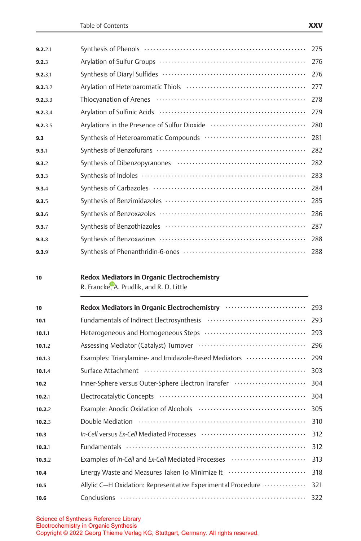| 9.2.2.1 |                                                                                                | 275 |
|---------|------------------------------------------------------------------------------------------------|-----|
| 9.2.3   |                                                                                                | 276 |
| 9.2.3.1 |                                                                                                | 276 |
| 9.2.3.2 |                                                                                                | 277 |
| 9.2.3.3 |                                                                                                | 278 |
| 9.2.3.4 |                                                                                                | 279 |
| 9.2.3.5 | Arylations in the Presence of Sulfur Dioxide                                                   | 280 |
| 9.3     |                                                                                                | 281 |
| 9.3.1   |                                                                                                | 282 |
| 9.3.2   |                                                                                                | 282 |
| 9.3.3   |                                                                                                | 283 |
| 9.3.4   |                                                                                                | 284 |
| 9.3.5   |                                                                                                | 285 |
| 9.3.6   |                                                                                                | 286 |
| 9.3.7   |                                                                                                | 287 |
| 9.3.8   |                                                                                                | 288 |
| 9.3.9   |                                                                                                | 288 |
|         |                                                                                                |     |
| 10      | <b>Redox Mediators in Organic Electrochemistry</b><br>R. Francke, A. Prudlik, and R. D. Little |     |
| 10      | Redox Mediators in Organic Electrochemistry                                                    | 293 |
| 10.1    |                                                                                                | 293 |
| 10.1.1  |                                                                                                | 293 |
| 10.1.2  |                                                                                                | 296 |
|         |                                                                                                |     |

| 10.1.2 |                                                                                                                 | 296 |
|--------|-----------------------------------------------------------------------------------------------------------------|-----|
| 10.1.3 | Examples: Triarylamine- and Imidazole-Based Mediators                                                           | 299 |
| 10.1.4 |                                                                                                                 | 303 |
| 10.2   | Inner-Sphere versus Outer-Sphere Electron Transfer                                                              | 304 |
| 10.2.1 | Electrocatalytic Concepts (and the context of the context of the context of the context of the context of the c | 304 |
| 10.2.2 |                                                                                                                 | 305 |
| 10.2.3 |                                                                                                                 | 310 |
| 10.3   |                                                                                                                 | 312 |
| 10.3.1 |                                                                                                                 | 312 |
| 10.3.2 | Examples of In-Cell and Ex-Cell Mediated Processes                                                              | 313 |
| 10.4   | Energy Waste and Measures Taken To Minimize It (allow contains and Measures III)                                | 318 |
| 10.5   | Allylic C-H Oxidation: Representative Experimental Procedure                                                    | 321 |
| 10.6   |                                                                                                                 |     |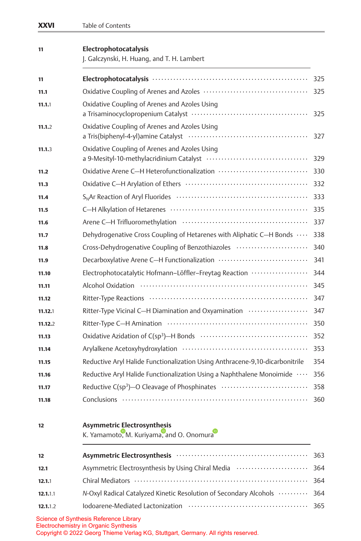| XXVI     | Table of Contents                                                              |     |
|----------|--------------------------------------------------------------------------------|-----|
| 11       | Electrophotocatalysis<br>J. Galczynski, H. Huang, and T. H. Lambert            |     |
| 11       |                                                                                | 325 |
| 11.1     |                                                                                | 325 |
| 11.1.1   | Oxidative Coupling of Arenes and Azoles Using                                  | 325 |
| 11.1.2   | Oxidative Coupling of Arenes and Azoles Using                                  | 327 |
| 11.1.3   | Oxidative Coupling of Arenes and Azoles Using                                  | 329 |
| 11.2     |                                                                                | 330 |
| 11.3     |                                                                                | 332 |
| 11.4     |                                                                                | 333 |
| 11.5     |                                                                                | 335 |
| 11.6     |                                                                                | 337 |
| 11.7     | Dehydrogenative Cross Coupling of Hetarenes with Aliphatic C-H Bonds           | 338 |
| 11.8     | Cross-Dehydrogenative Coupling of Benzothiazoles                               | 340 |
| 11.9     |                                                                                | 341 |
| 11.10    | Electrophotocatalytic Hofmann-Löffler-Freytag Reaction                         | 344 |
| 11.11    |                                                                                | 345 |
| 11.12    |                                                                                | 347 |
| 11.12.1  | Ritter-Type Vicinal C-H Diamination and Oxyamination                           | 347 |
| 11.12.2  |                                                                                | 350 |
| 11.13    |                                                                                | 352 |
| 11.14    |                                                                                | 353 |
| 11.15    | Reductive Aryl Halide Functionalization Using Anthracene-9,10-dicarbonitrile   | 354 |
| 11.16    | Reductive Aryl Halide Functionalization Using a Naphthalene Monoimide          | 356 |
| 11.17    | Reductive C(sp <sup>3</sup> )-O Cleavage of Phosphinates                       | 358 |
| 11.18    |                                                                                | 360 |
| 12       | <b>Asymmetric Electrosynthesis</b><br>K. Yamamoto, M. Kuriyama, and O. Onomura |     |
| 12       |                                                                                | 363 |
| 12.1     | Asymmetric Electrosynthesis by Using Chiral Media                              | 364 |
| 12.1.1   |                                                                                | 364 |
| 12.1.1.1 | N-Oxyl Radical Catalyzed Kinetic Resolution of Secondary Alcohols              | 364 |
| 12.1.1.2 | Iodoarene-Mediated Lactonization                                               | 365 |
|          |                                                                                |     |

Copyright © 2022 Georg Thieme Verlag KG, Stuttgart, Germany. All rights reserved.

Science of Synthesis Reference Library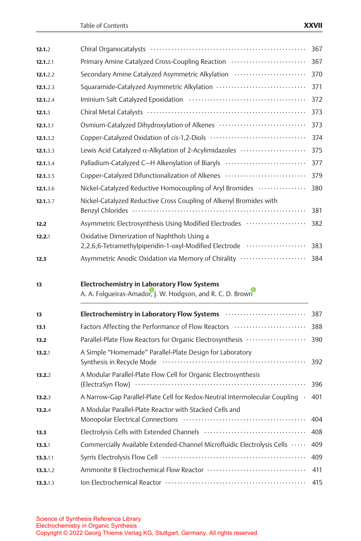| 12.1.2   | Chiral Organocatalysts (and the context of the context of the chiral Organocatalysts (context)                                                                                                                                 | 367 |
|----------|--------------------------------------------------------------------------------------------------------------------------------------------------------------------------------------------------------------------------------|-----|
| 12.1.2.1 | Primary Amine Catalyzed Cross-Coupling Reaction                                                                                                                                                                                | 367 |
| 12.1.2.2 | Secondary Amine Catalyzed Asymmetric Alkylation                                                                                                                                                                                | 370 |
| 12.1.2.3 | Squaramide-Catalyzed Asymmetric Alkylation                                                                                                                                                                                     | 371 |
| 12.1.2.4 | Iminium Salt Catalyzed Epoxidation (and the content of the Catalyzed Epoxidation (and the content of the Catalyzed Epoxidation (and the content of the Catalyzed Epoxidation (and the content of the Catalyzed Epoxidation (an | 372 |
| 12.1.3   |                                                                                                                                                                                                                                | 373 |
| 12.1.3.1 | Osmium-Catalyzed Dihydroxylation of Alkenes                                                                                                                                                                                    | 373 |
| 12.1.3.2 |                                                                                                                                                                                                                                | 374 |
| 12.1.3.3 | Lewis Acid Catalyzed α-Alkylation of 2-Acylimidazoles                                                                                                                                                                          | 375 |
| 12.1.3.4 | Palladium-Catalyzed C-H Alkenylation of Biaryls                                                                                                                                                                                | 377 |
| 12.1.3.5 | Copper-Catalyzed Difunctionalization of Alkenes                                                                                                                                                                                | 379 |
| 12.1.3.6 | Nickel-Catalyzed Reductive Homocoupling of Aryl Bromides                                                                                                                                                                       | 380 |
| 12.1.3.7 | Nickel-Catalyzed Reductive Cross Coupling of Alkenyl Bromides with                                                                                                                                                             | 381 |
| 12.2     | Asymmetric Electrosynthesis Using Modified Electrodes                                                                                                                                                                          | 382 |
| 12.2.1   | Oxidative Dimerization of Naphthols Using a<br>2,2,6,6-Tetramethylpiperidin-1-oxyl-Modified Electrode                                                                                                                          | 383 |
| 12.3     | Asymmetric Anodic Oxidation via Memory of Chirality                                                                                                                                                                            | 384 |
|          |                                                                                                                                                                                                                                |     |
| 13       | <b>Electrochemistry in Laboratory Flow Systems</b><br>A. A. Folgueiras-Amador, J. W. Hodgson, and R. C. D. Brown                                                                                                               |     |
| 13       |                                                                                                                                                                                                                                |     |
| 13.1     | Electrochemistry in Laboratory Flow Systems                                                                                                                                                                                    | 387 |
| 13.2     | Factors Affecting the Performance of Flow Reactors                                                                                                                                                                             | 388 |
|          | Parallel-Plate Flow Reactors for Organic Electrosynthesis                                                                                                                                                                      | 390 |
| 13.2.1   | A Simple "Homemade" Parallel-Plate Design for Laboratory                                                                                                                                                                       | 392 |
| 13.2.2   | A Modular Parallel-Plate Flow Cell for Organic Electrosynthesis                                                                                                                                                                | 396 |
| 13.2.3   | A Narrow-Gap Parallel-Plate Cell for Redox-Neutral Intermolecular Coupling .                                                                                                                                                   | 401 |
| 13.2.4   | A Modular Parallel-Plate Reactor with Stacked Cells and                                                                                                                                                                        | 404 |
| 13.3     |                                                                                                                                                                                                                                | 408 |
| 13.3.1   | Commercially Available Extended-Channel Microfluidic Electrolysis Cells                                                                                                                                                        | 409 |
| 13.3.1.1 |                                                                                                                                                                                                                                | 409 |
| 13.3.1.2 |                                                                                                                                                                                                                                | 411 |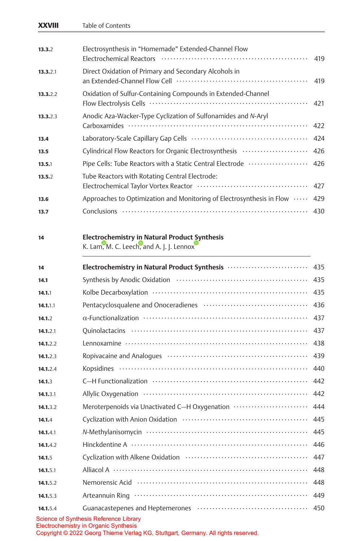|          | Table of Contents                                                                                |     |
|----------|--------------------------------------------------------------------------------------------------|-----|
| 13.3.2   | Electrosynthesis in "Homemade" Extended-Channel Flow                                             | 419 |
| 13.3.2.1 | Direct Oxidation of Primary and Secondary Alcohols in                                            | 419 |
| 13.3.2.2 | Oxidation of Sulfur-Containing Compounds in Extended-Channel                                     | 421 |
| 13.3.2.3 | Anodic Aza-Wacker-Type Cyclization of Sulfonamides and N-Aryl                                    | 422 |
| 13.4     |                                                                                                  | 424 |
| 13.5     | Cylindrical Flow Reactors for Organic Electrosynthesis                                           | 426 |
| 13.5.1   | Pipe Cells: Tube Reactors with a Static Central Electrode                                        | 426 |
| 13.5.2   | Tube Reactors with Rotating Central Electrode:                                                   | 427 |
| 13.6     | Approaches to Optimization and Monitoring of Electrosynthesis in Flow                            | 429 |
| 13.7     |                                                                                                  | 430 |
| 14       | <b>Electrochemistry in Natural Product Synthesis</b><br>K. Lam, M. C. Leech, and A. J. J. Lennox |     |
| 14       | Electrochemistry in Natural Product Synthesis                                                    | 435 |
| 14.1     |                                                                                                  | 435 |
| 14.1.1   |                                                                                                  | 435 |
| 14.1.1.1 |                                                                                                  | 436 |
| 14.1.2   |                                                                                                  | 437 |
| 14.1.2.1 |                                                                                                  | 437 |
| 14.1.2.2 |                                                                                                  | 438 |
| 14.1.2.3 |                                                                                                  | 439 |
| 14.1.2.4 |                                                                                                  | 440 |
| 14.1.3   |                                                                                                  | 442 |
| 14.1.3.1 |                                                                                                  | 442 |
| 14.1.3.2 | Meroterpenoids via Unactivated C-H Oxygenation                                                   | 444 |
| 14.1.4   |                                                                                                  | 445 |
| 14.1.4.1 |                                                                                                  | 445 |
| 14.1.4.2 |                                                                                                  | 446 |
| 14.1.5   |                                                                                                  | 447 |
| 14.1.5.1 |                                                                                                  | 448 |
| 14.1.5.2 | Nemorensic Acid (and the contract of the contract of the Nemorensic Acid)                        | 448 |
|          |                                                                                                  | 449 |
| 14.1.5.3 |                                                                                                  |     |

Copyright © 2022 Georg Thieme Verlag KG, Stuttgart, Germany. All rights reserved.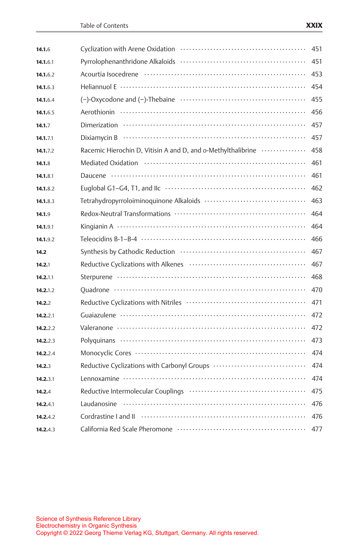| 14.1.6   |                                                              | 451 |
|----------|--------------------------------------------------------------|-----|
| 14.1.6.1 |                                                              | 451 |
| 14.1.6.2 |                                                              | 453 |
| 14.1.6.3 |                                                              | 454 |
| 14.1.6.4 |                                                              | 455 |
| 14.1.6.5 |                                                              | 456 |
| 14.1.7   |                                                              | 457 |
| 14.1.7.1 |                                                              | 457 |
| 14.1.7.2 | Racemic Hierochin D, Vitisin A and D, and o-Methylthalibrine | 458 |
| 14.1.8   |                                                              | 461 |
| 14.1.8.1 |                                                              | 461 |
| 14.1.8.2 |                                                              | 462 |
| 14.1.8.3 |                                                              | 463 |
| 14.1.9   |                                                              | 464 |
| 14.1.9.1 |                                                              | 464 |
| 14.1.9.2 |                                                              | 466 |
| 14.2     |                                                              | 467 |
| 14.2.1   |                                                              | 467 |
| 14.2.1.1 |                                                              | 468 |
| 14.2.1.2 |                                                              | 470 |
| 14.2.2   |                                                              | 471 |
| 14.2.2.1 |                                                              | 472 |
| 14.2.2.2 |                                                              | 472 |
| 14.2.2.3 |                                                              | 473 |
| 14.2.2.4 |                                                              | 474 |
| 14.2.3   | Reductive Cyclizations with Carbonyl Groups                  | 474 |
| 14.2.3.1 |                                                              | 474 |
| 14.2.4   |                                                              | 475 |
| 14.2.4.1 | Laudanosine                                                  | 476 |
| 14.2.4.2 |                                                              | 476 |
| 14.2.4.3 |                                                              | 477 |